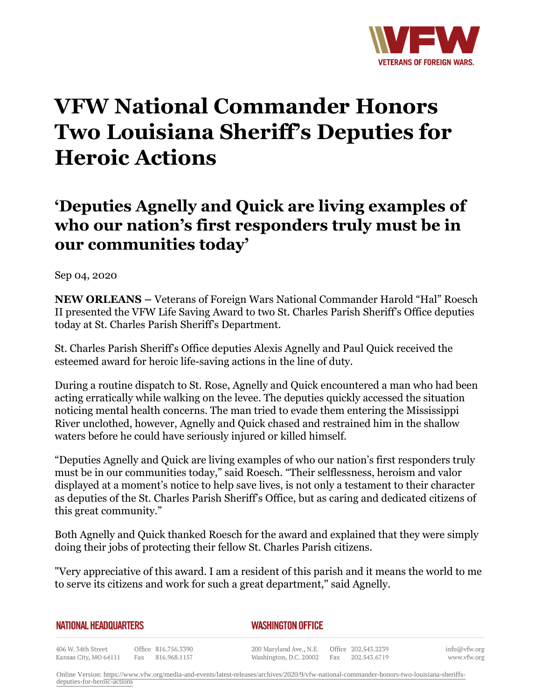

## **VFW National Commander Honors Two Louisiana Sheriff's Deputies for Heroic Actions**

## **'Deputies Agnelly and Quick are living examples of who our nation's first responders truly must be in our communities today'**

Sep 04, 2020

**NEW ORLEANS –** Veterans of Foreign Wars National Commander Harold "Hal" Roesch II presented the VFW Life Saving Award to two St. Charles Parish Sheriff's Office deputies today at St. Charles Parish Sheriff's Department.

St. Charles Parish Sheriff's Office deputies Alexis Agnelly and Paul Quick received the esteemed award for heroic life-saving actions in the line of duty.

During a routine dispatch to St. Rose, Agnelly and Quick encountered a man who had been acting erratically while walking on the levee. The deputies quickly accessed the situation noticing mental health concerns. The man tried to evade them entering the Mississippi River unclothed, however, Agnelly and Quick chased and restrained him in the shallow waters before he could have seriously injured or killed himself.

"Deputies Agnelly and Quick are living examples of who our nation's first responders truly must be in our communities today," said Roesch. "Their selflessness, heroism and valor displayed at a moment's notice to help save lives, is not only a testament to their character as deputies of the St. Charles Parish Sheriff's Office, but as caring and dedicated citizens of this great community."

Both Agnelly and Quick thanked Roesch for the award and explained that they were simply doing their jobs of protecting their fellow St. Charles Parish citizens.

"Very appreciative of this award. I am a resident of this parish and it means the world to me to serve its citizens and work for such a great department," said Agnelly.

| NATIONAL HEADQUARTERS |                     | <b>WASHINGTON OFFICE</b>                    |  |
|-----------------------|---------------------|---------------------------------------------|--|
| 406 W. 34th Street    | Office 816.756.3390 | 200 Maryland Ave., N.E. Office 202.543.2239 |  |

Kansas City, MO 64111 Fax 816.968.1157

info@vfw.org www.vfw.org

Online Version: [https://www.vfw.org/media-and-events/latest-releases/archives/2020/9/vfw-national-commander-honors-two-louisiana-sheriffs](https://www.vfw.org/media-and-events/latest-releases/archives/2020/9/vfw-national-commander-honors-two-louisiana-sheriffs-deputies-for-heroic-actions)[deputies-for-heroic-actions](https://www.vfw.org/media-and-events/latest-releases/archives/2020/9/vfw-national-commander-honors-two-louisiana-sheriffs-deputies-for-heroic-actions)

Washington, D.C. 20002

Fax 202.543.6719